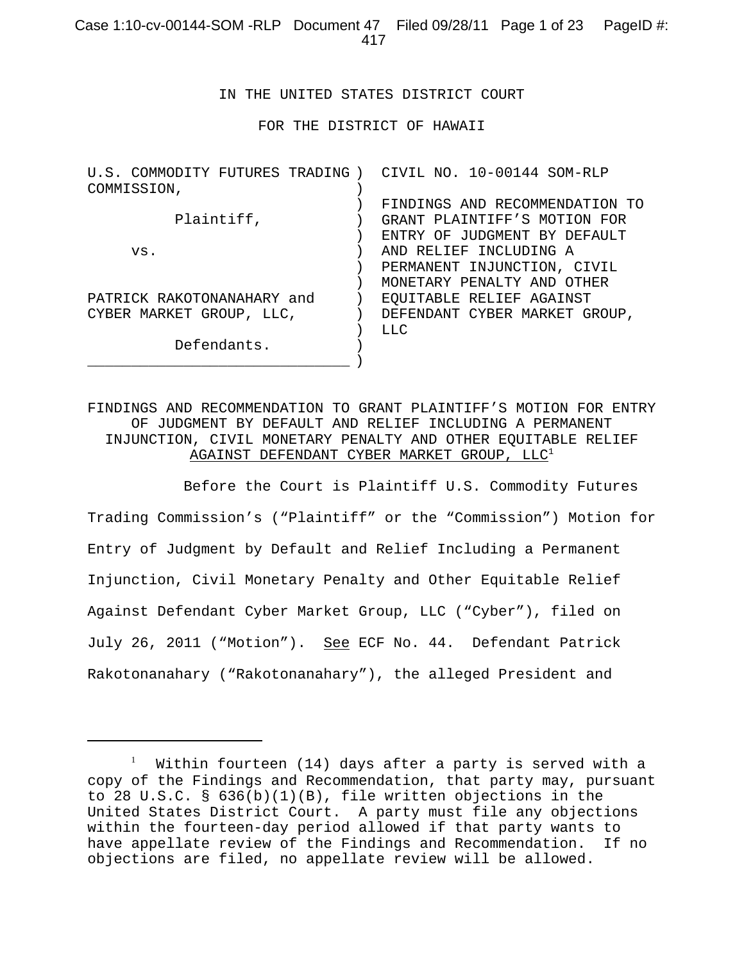IN THE UNITED STATES DISTRICT COURT

FOR THE DISTRICT OF HAWAII

| COMMISSION,<br>FINDINGS AND RECOMMENDATION TO<br>Plaintiff,<br>GRANT PLAINTIFF'S MOTION FOR<br>ENTRY OF JUDGMENT BY DEFAULT<br>AND RELIEF INCLUDING A<br>VS.<br>PERMANENT INJUNCTION, CIVIL<br>MONETARY PENALTY AND OTHER<br>PATRICK RAKOTONANAHARY and<br>EQUITABLE RELIEF AGAINST<br>CYBER MARKET GROUP, LLC,<br>DEFENDANT CYBER MARKET GROUP,<br>$T_{1}T_{2}C_{1}$<br>Defendants. | U.S. COMMODITY FUTURES TRADING) | CIVIL NO. 10-00144 SOM-RLP |
|--------------------------------------------------------------------------------------------------------------------------------------------------------------------------------------------------------------------------------------------------------------------------------------------------------------------------------------------------------------------------------------|---------------------------------|----------------------------|
|                                                                                                                                                                                                                                                                                                                                                                                      |                                 |                            |
|                                                                                                                                                                                                                                                                                                                                                                                      |                                 |                            |
|                                                                                                                                                                                                                                                                                                                                                                                      |                                 |                            |
|                                                                                                                                                                                                                                                                                                                                                                                      |                                 |                            |
|                                                                                                                                                                                                                                                                                                                                                                                      |                                 |                            |
|                                                                                                                                                                                                                                                                                                                                                                                      |                                 |                            |
|                                                                                                                                                                                                                                                                                                                                                                                      |                                 |                            |
|                                                                                                                                                                                                                                                                                                                                                                                      |                                 |                            |
|                                                                                                                                                                                                                                                                                                                                                                                      |                                 |                            |
|                                                                                                                                                                                                                                                                                                                                                                                      |                                 |                            |
|                                                                                                                                                                                                                                                                                                                                                                                      |                                 |                            |
|                                                                                                                                                                                                                                                                                                                                                                                      |                                 |                            |

FINDINGS AND RECOMMENDATION TO GRANT PLAINTIFF'S MOTION FOR ENTRY OF JUDGMENT BY DEFAULT AND RELIEF INCLUDING A PERMANENT INJUNCTION, CIVIL MONETARY PENALTY AND OTHER EQUITABLE RELIEF AGAINST DEFENDANT CYBER MARKET GROUP,  $LLC<sup>1</sup>$ 

 Before the Court is Plaintiff U.S. Commodity Futures Trading Commission's ("Plaintiff" or the "Commission") Motion for Entry of Judgment by Default and Relief Including a Permanent Injunction, Civil Monetary Penalty and Other Equitable Relief Against Defendant Cyber Market Group, LLC ("Cyber"), filed on July 26, 2011 ("Motion"). See ECF No. 44. Defendant Patrick Rakotonanahary ("Rakotonanahary"), the alleged President and

 $^{\rm l}$  – Within fourteen (14) days after a party is served with a copy of the Findings and Recommendation, that party may, pursuant to 28 U.S.C. § 636(b)(1)(B), file written objections in the United States District Court. A party must file any objections within the fourteen-day period allowed if that party wants to have appellate review of the Findings and Recommendation. If no objections are filed, no appellate review will be allowed.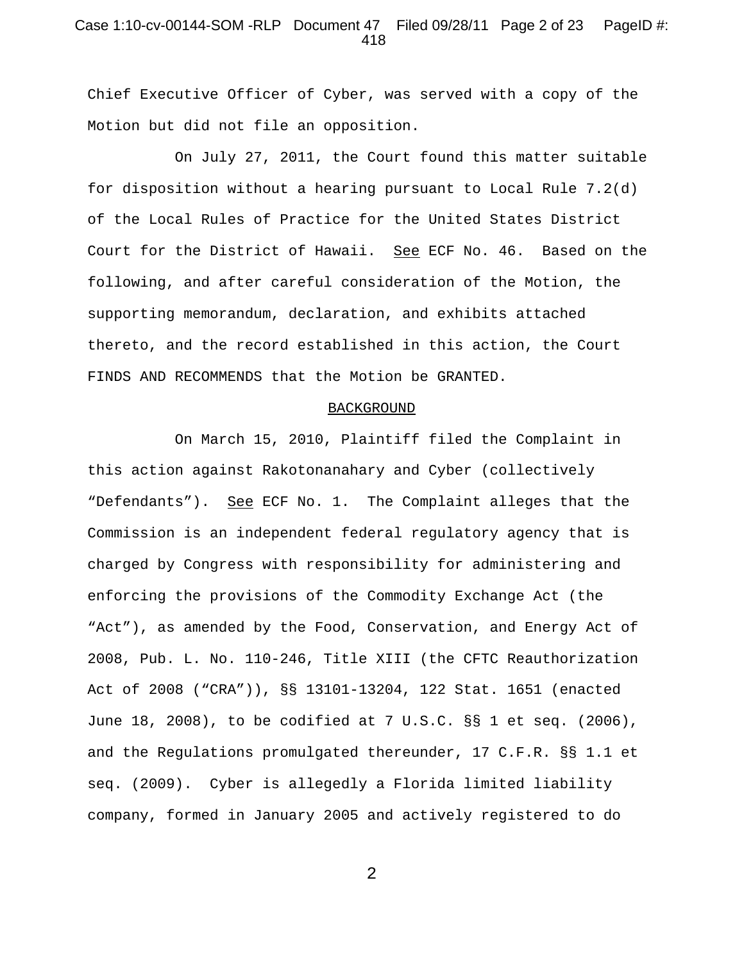## Case 1:10-cv-00144-SOM -RLP Document 47 Filed 09/28/11 Page 2 of 23 PageID #: 418

Chief Executive Officer of Cyber, was served with a copy of the Motion but did not file an opposition.

On July 27, 2011, the Court found this matter suitable for disposition without a hearing pursuant to Local Rule 7.2(d) of the Local Rules of Practice for the United States District Court for the District of Hawaii. See ECF No. 46. Based on the following, and after careful consideration of the Motion, the supporting memorandum, declaration, and exhibits attached thereto, and the record established in this action, the Court FINDS AND RECOMMENDS that the Motion be GRANTED.

#### BACKGROUND

On March 15, 2010, Plaintiff filed the Complaint in this action against Rakotonanahary and Cyber (collectively "Defendants"). See ECF No. 1. The Complaint alleges that the Commission is an independent federal regulatory agency that is charged by Congress with responsibility for administering and enforcing the provisions of the Commodity Exchange Act (the "Act"), as amended by the Food, Conservation, and Energy Act of 2008, Pub. L. No. 110-246, Title XIII (the CFTC Reauthorization Act of 2008 ("CRA")), §§ 13101-13204, 122 Stat. 1651 (enacted June 18, 2008), to be codified at 7 U.S.C. §§ 1 et seq. (2006), and the Regulations promulgated thereunder, 17 C.F.R. §§ 1.1 et seq. (2009). Cyber is allegedly a Florida limited liability company, formed in January 2005 and actively registered to do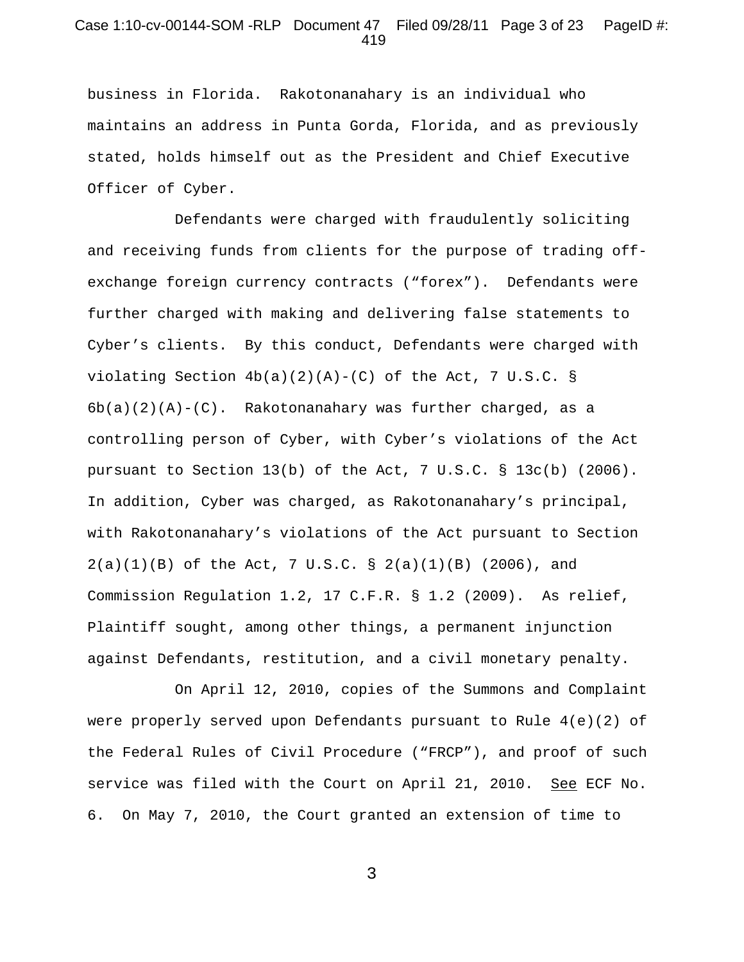### Case 1:10-cv-00144-SOM -RLP Document 47 Filed 09/28/11 Page 3 of 23 PageID #: 419

business in Florida. Rakotonanahary is an individual who maintains an address in Punta Gorda, Florida, and as previously stated, holds himself out as the President and Chief Executive Officer of Cyber.

Defendants were charged with fraudulently soliciting and receiving funds from clients for the purpose of trading offexchange foreign currency contracts ("forex"). Defendants were further charged with making and delivering false statements to Cyber's clients. By this conduct, Defendants were charged with violating Section  $4b(a)(2)(A)-(C)$  of the Act, 7 U.S.C. §  $6b(a)(2)(A)-(C)$ . Rakotonanahary was further charged, as a controlling person of Cyber, with Cyber's violations of the Act pursuant to Section 13(b) of the Act, 7 U.S.C. § 13c(b) (2006). In addition, Cyber was charged, as Rakotonanahary's principal, with Rakotonanahary's violations of the Act pursuant to Section  $2(a)(1)(B)$  of the Act, 7 U.S.C. §  $2(a)(1)(B)$  (2006), and Commission Regulation 1.2, 17 C.F.R. § 1.2 (2009). As relief, Plaintiff sought, among other things, a permanent injunction against Defendants, restitution, and a civil monetary penalty.

On April 12, 2010, copies of the Summons and Complaint were properly served upon Defendants pursuant to Rule 4(e)(2) of the Federal Rules of Civil Procedure ("FRCP"), and proof of such service was filed with the Court on April 21, 2010. See ECF No. 6. On May 7, 2010, the Court granted an extension of time to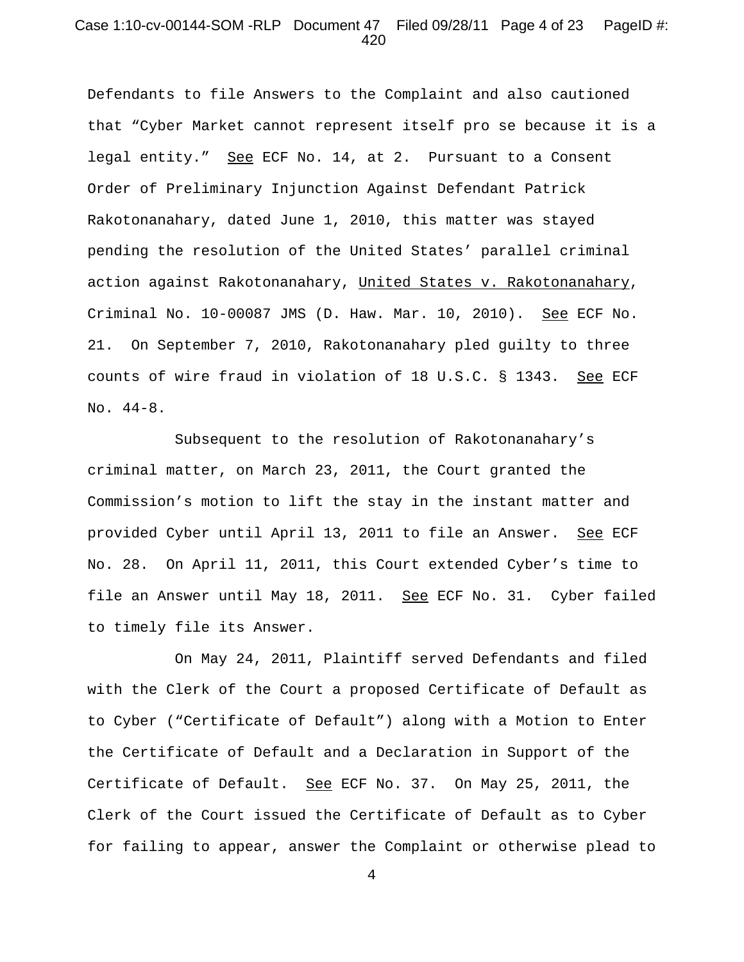### Case 1:10-cv-00144-SOM -RLP Document 47 Filed 09/28/11 Page 4 of 23 PageID #: 420

Defendants to file Answers to the Complaint and also cautioned that "Cyber Market cannot represent itself pro se because it is a legal entity." See ECF No. 14, at 2. Pursuant to a Consent Order of Preliminary Injunction Against Defendant Patrick Rakotonanahary, dated June 1, 2010, this matter was stayed pending the resolution of the United States' parallel criminal action against Rakotonanahary, United States v. Rakotonanahary, Criminal No. 10-00087 JMS (D. Haw. Mar. 10, 2010). See ECF No. 21. On September 7, 2010, Rakotonanahary pled guilty to three counts of wire fraud in violation of 18 U.S.C. § 1343. See ECF No. 44-8.

Subsequent to the resolution of Rakotonanahary's criminal matter, on March 23, 2011, the Court granted the Commission's motion to lift the stay in the instant matter and provided Cyber until April 13, 2011 to file an Answer. See ECF No. 28. On April 11, 2011, this Court extended Cyber's time to file an Answer until May 18, 2011. See ECF No. 31. Cyber failed to timely file its Answer.

On May 24, 2011, Plaintiff served Defendants and filed with the Clerk of the Court a proposed Certificate of Default as to Cyber ("Certificate of Default") along with a Motion to Enter the Certificate of Default and a Declaration in Support of the Certificate of Default. See ECF No. 37. On May 25, 2011, the Clerk of the Court issued the Certificate of Default as to Cyber for failing to appear, answer the Complaint or otherwise plead to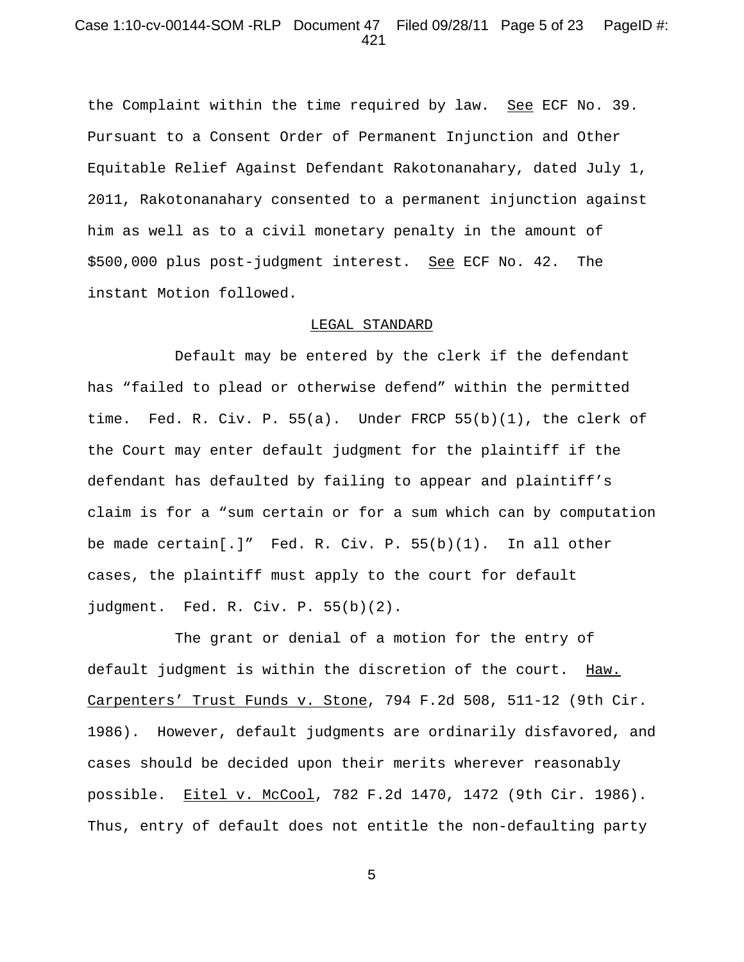### Case 1:10-cv-00144-SOM -RLP Document 47 Filed 09/28/11 Page 5 of 23 PageID #: 421

the Complaint within the time required by law. See ECF No. 39. Pursuant to a Consent Order of Permanent Injunction and Other Equitable Relief Against Defendant Rakotonanahary, dated July 1, 2011, Rakotonanahary consented to a permanent injunction against him as well as to a civil monetary penalty in the amount of \$500,000 plus post-judgment interest. See ECF No. 42. The instant Motion followed.

#### LEGAL STANDARD

Default may be entered by the clerk if the defendant has "failed to plead or otherwise defend" within the permitted time. Fed. R. Civ. P. 55(a). Under FRCP 55(b)(1), the clerk of the Court may enter default judgment for the plaintiff if the defendant has defaulted by failing to appear and plaintiff's claim is for a "sum certain or for a sum which can by computation be made  $certain[.]$ " Fed. R. Civ. P.  $55(b)(1)$ . In all other cases, the plaintiff must apply to the court for default judgment. Fed. R. Civ. P. 55(b)(2).

The grant or denial of a motion for the entry of default judgment is within the discretion of the court. Haw. Carpenters' Trust Funds v. Stone, 794 F.2d 508, 511-12 (9th Cir. 1986). However, default judgments are ordinarily disfavored, and cases should be decided upon their merits wherever reasonably possible. Eitel v. McCool, 782 F.2d 1470, 1472 (9th Cir. 1986). Thus, entry of default does not entitle the non-defaulting party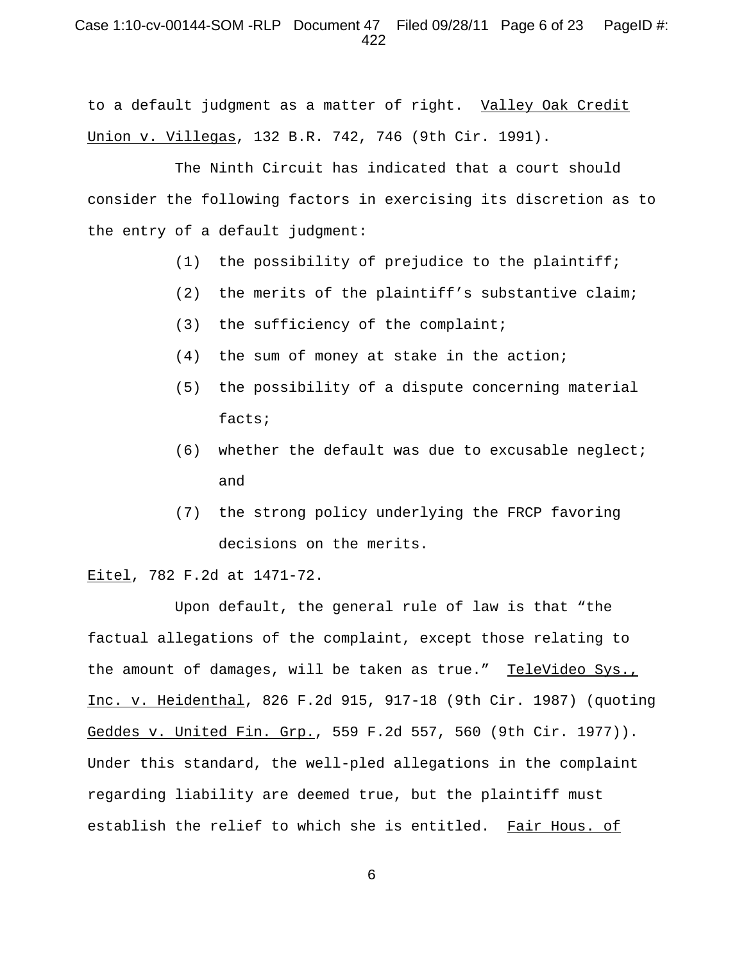## Case 1:10-cv-00144-SOM -RLP Document 47 Filed 09/28/11 Page 6 of 23 PageID #: 422

to a default judgment as a matter of right. Valley Oak Credit Union v. Villegas, 132 B.R. 742, 746 (9th Cir. 1991).

The Ninth Circuit has indicated that a court should consider the following factors in exercising its discretion as to the entry of a default judgment:

- (1) the possibility of prejudice to the plaintiff;
- (2) the merits of the plaintiff's substantive claim;
- (3) the sufficiency of the complaint;
- (4) the sum of money at stake in the action;
- (5) the possibility of a dispute concerning material facts;
- (6) whether the default was due to excusable neglect; and
- (7) the strong policy underlying the FRCP favoring decisions on the merits.

### Eitel, 782 F.2d at 1471-72.

Upon default, the general rule of law is that "the factual allegations of the complaint, except those relating to the amount of damages, will be taken as true." TeleVideo Sys., Inc. v. Heidenthal, 826 F.2d 915, 917-18 (9th Cir. 1987) (quoting Geddes v. United Fin. Grp., 559 F.2d 557, 560 (9th Cir. 1977)). Under this standard, the well-pled allegations in the complaint regarding liability are deemed true, but the plaintiff must establish the relief to which she is entitled. Fair Hous. of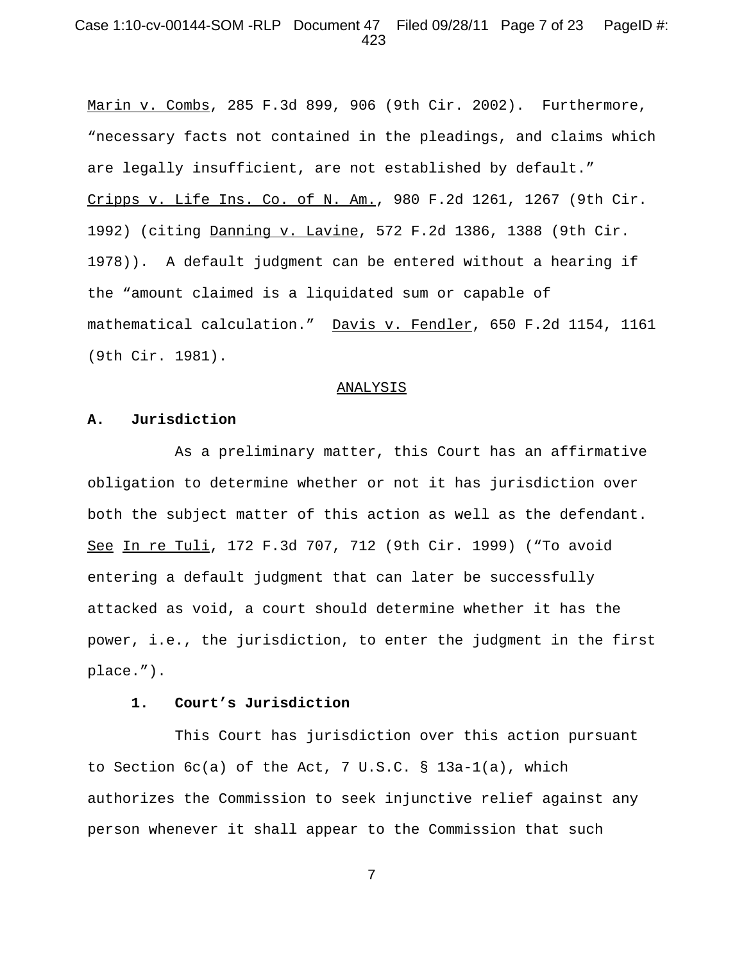### Case 1:10-cv-00144-SOM -RLP Document 47 Filed 09/28/11 Page 7 of 23 PageID #: 423

Marin v. Combs, 285 F.3d 899, 906 (9th Cir. 2002). Furthermore, "necessary facts not contained in the pleadings, and claims which are legally insufficient, are not established by default." Cripps v. Life Ins. Co. of N. Am., 980 F.2d 1261, 1267 (9th Cir. 1992) (citing Danning v. Lavine, 572 F.2d 1386, 1388 (9th Cir. 1978)). A default judgment can be entered without a hearing if the "amount claimed is a liquidated sum or capable of mathematical calculation." Davis v. Fendler, 650 F.2d 1154, 1161 (9th Cir. 1981).

#### ANALYSIS

#### **A. Jurisdiction**

As a preliminary matter, this Court has an affirmative obligation to determine whether or not it has jurisdiction over both the subject matter of this action as well as the defendant. See In re Tuli, 172 F.3d 707, 712 (9th Cir. 1999) ("To avoid entering a default judgment that can later be successfully attacked as void, a court should determine whether it has the power, i.e., the jurisdiction, to enter the judgment in the first place.").

#### **1. Court's Jurisdiction**

This Court has jurisdiction over this action pursuant to Section 6c(a) of the Act, 7 U.S.C. § 13a-1(a), which authorizes the Commission to seek injunctive relief against any person whenever it shall appear to the Commission that such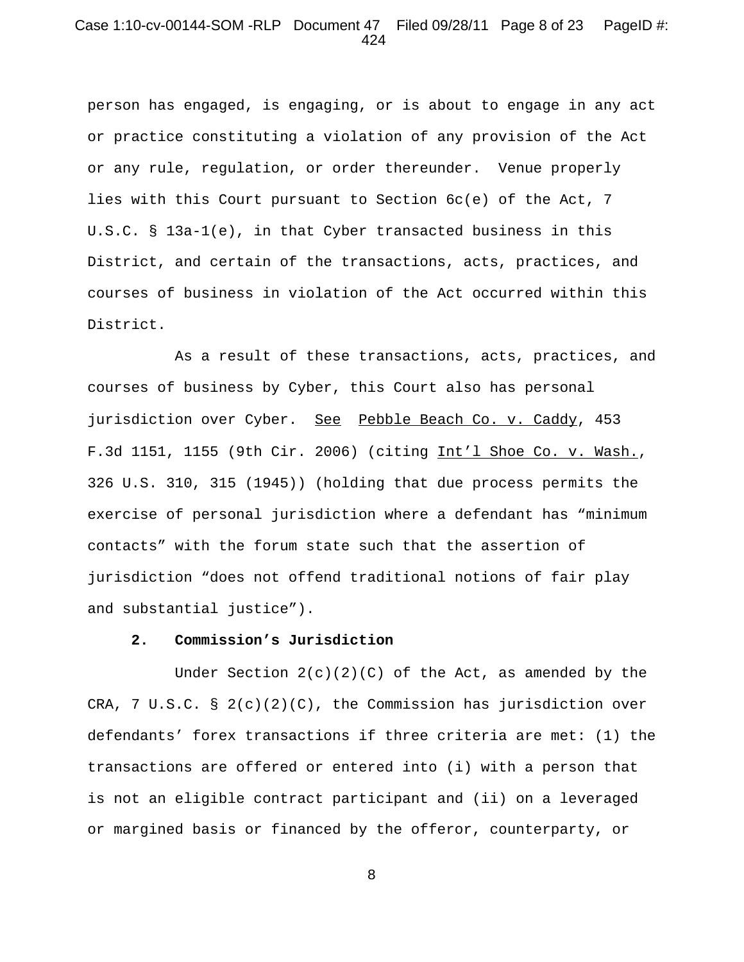### Case 1:10-cv-00144-SOM -RLP Document 47 Filed 09/28/11 Page 8 of 23 PageID #: 424

person has engaged, is engaging, or is about to engage in any act or practice constituting a violation of any provision of the Act or any rule, regulation, or order thereunder. Venue properly lies with this Court pursuant to Section 6c(e) of the Act, 7 U.S.C. § 13a-1(e), in that Cyber transacted business in this District, and certain of the transactions, acts, practices, and courses of business in violation of the Act occurred within this District.

As a result of these transactions, acts, practices, and courses of business by Cyber, this Court also has personal jurisdiction over Cyber. See Pebble Beach Co. v. Caddy, 453 F.3d 1151, 1155 (9th Cir. 2006) (citing Int'l Shoe Co. v. Wash., 326 U.S. 310, 315 (1945)) (holding that due process permits the exercise of personal jurisdiction where a defendant has "minimum contacts" with the forum state such that the assertion of jurisdiction "does not offend traditional notions of fair play and substantial justice").

### **2. Commission's Jurisdiction**

Under Section  $2(c)(2)(C)$  of the Act, as amended by the CRA, 7 U.S.C.  $\S 2(c)(2)(C)$ , the Commission has jurisdiction over defendants' forex transactions if three criteria are met: (1) the transactions are offered or entered into (i) with a person that is not an eligible contract participant and (ii) on a leveraged or margined basis or financed by the offeror, counterparty, or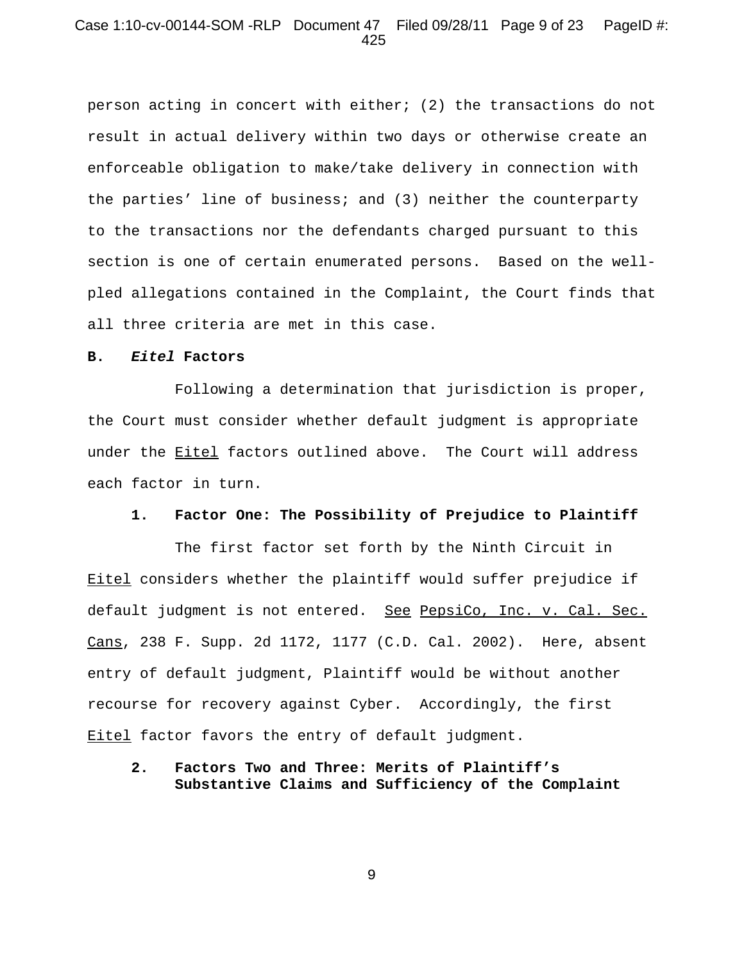### Case 1:10-cv-00144-SOM -RLP Document 47 Filed 09/28/11 Page 9 of 23 PageID #: 425

person acting in concert with either; (2) the transactions do not result in actual delivery within two days or otherwise create an enforceable obligation to make/take delivery in connection with the parties' line of business; and (3) neither the counterparty to the transactions nor the defendants charged pursuant to this section is one of certain enumerated persons. Based on the wellpled allegations contained in the Complaint, the Court finds that all three criteria are met in this case.

#### **B.** *Eitel* **Factors**

Following a determination that jurisdiction is proper, the Court must consider whether default judgment is appropriate under the Eitel factors outlined above. The Court will address each factor in turn.

#### **1. Factor One: The Possibility of Prejudice to Plaintiff**

The first factor set forth by the Ninth Circuit in Eitel considers whether the plaintiff would suffer prejudice if default judgment is not entered. See PepsiCo, Inc. v. Cal. Sec. Cans, 238 F. Supp. 2d 1172, 1177 (C.D. Cal. 2002). Here, absent entry of default judgment, Plaintiff would be without another recourse for recovery against Cyber. Accordingly, the first **Eitel** factor favors the entry of default judgment.

## **2. Factors Two and Three: Merits of Plaintiff's Substantive Claims and Sufficiency of the Complaint**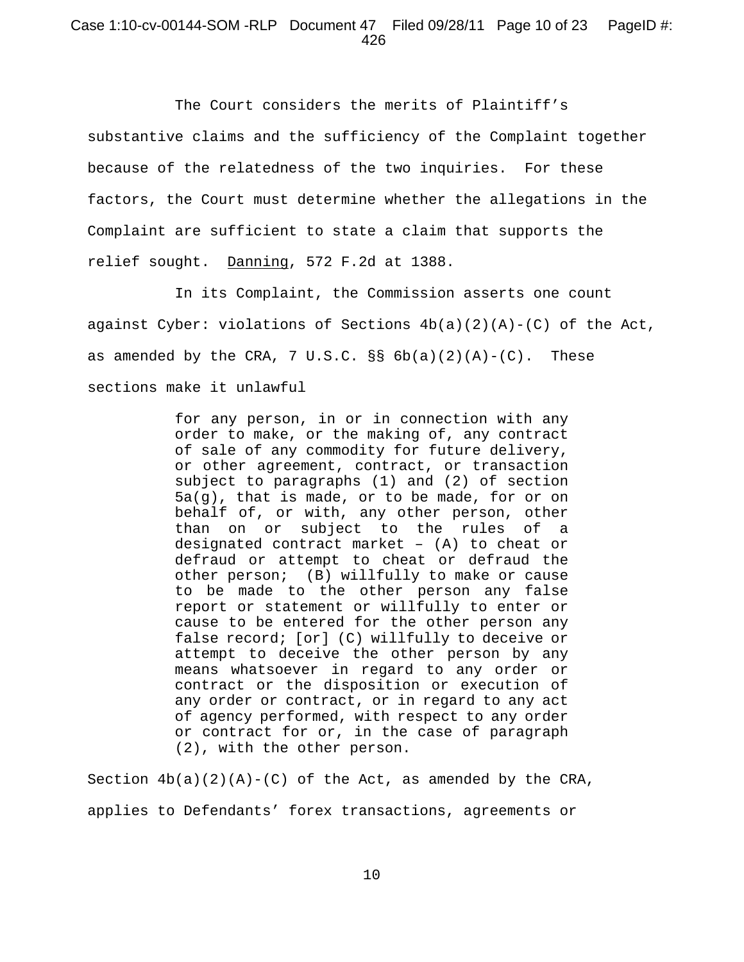# Case 1:10-cv-00144-SOM -RLP Document 47 Filed 09/28/11 Page 10 of 23 PageID #: 426

The Court considers the merits of Plaintiff's substantive claims and the sufficiency of the Complaint together because of the relatedness of the two inquiries. For these factors, the Court must determine whether the allegations in the Complaint are sufficient to state a claim that supports the relief sought. Danning, 572 F.2d at 1388.

In its Complaint, the Commission asserts one count against Cyber: violations of Sections  $4b(a)(2)(A)-(C)$  of the Act, as amended by the CRA, 7 U.S.C.  $\S$  6b(a)(2)(A)-(C). These sections make it unlawful

> for any person, in or in connection with any order to make, or the making of, any contract of sale of any commodity for future delivery, or other agreement, contract, or transaction subject to paragraphs (1) and (2) of section 5a(g), that is made, or to be made, for or on behalf of, or with, any other person, other than on or subject to the rules of a designated contract market – (A) to cheat or defraud or attempt to cheat or defraud the other person; (B) willfully to make or cause to be made to the other person any false report or statement or willfully to enter or cause to be entered for the other person any false record; [or] (C) willfully to deceive or attempt to deceive the other person by any means whatsoever in regard to any order or contract or the disposition or execution of any order or contract, or in regard to any act of agency performed, with respect to any order or contract for or, in the case of paragraph (2), with the other person.

Section  $4b(a)(2)(A)-(C)$  of the Act, as amended by the CRA, applies to Defendants' forex transactions, agreements or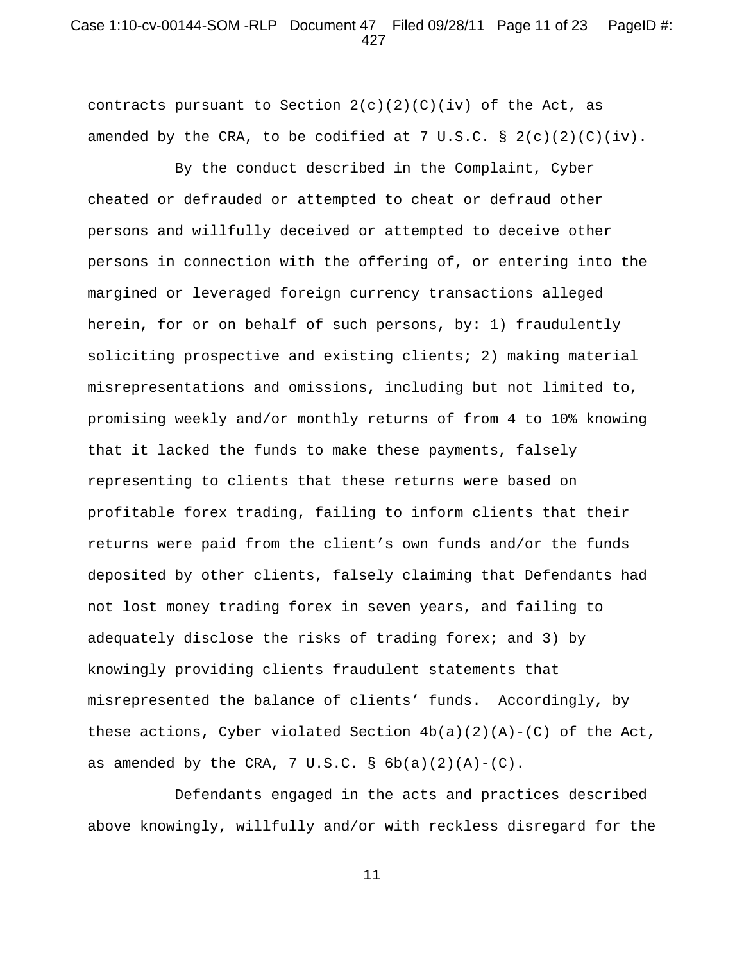# Case 1:10-cv-00144-SOM -RLP Document 47 Filed 09/28/11 Page 11 of 23 PageID #: 427

contracts pursuant to Section  $2(c)(2)(c)(iv)$  of the Act, as amended by the CRA, to be codified at 7 U.S.C.  $\S 2(c)(2)(C)(iv)$ .

By the conduct described in the Complaint, Cyber cheated or defrauded or attempted to cheat or defraud other persons and willfully deceived or attempted to deceive other persons in connection with the offering of, or entering into the margined or leveraged foreign currency transactions alleged herein, for or on behalf of such persons, by: 1) fraudulently soliciting prospective and existing clients; 2) making material misrepresentations and omissions, including but not limited to, promising weekly and/or monthly returns of from 4 to 10% knowing that it lacked the funds to make these payments, falsely representing to clients that these returns were based on profitable forex trading, failing to inform clients that their returns were paid from the client's own funds and/or the funds deposited by other clients, falsely claiming that Defendants had not lost money trading forex in seven years, and failing to adequately disclose the risks of trading forex; and 3) by knowingly providing clients fraudulent statements that misrepresented the balance of clients' funds. Accordingly, by these actions, Cyber violated Section  $4b(a)(2)(A)-(C)$  of the Act, as amended by the CRA,  $7 \text{ U.S.C. }$  §  $6b(a)(2)(A)-(C)$ .

Defendants engaged in the acts and practices described above knowingly, willfully and/or with reckless disregard for the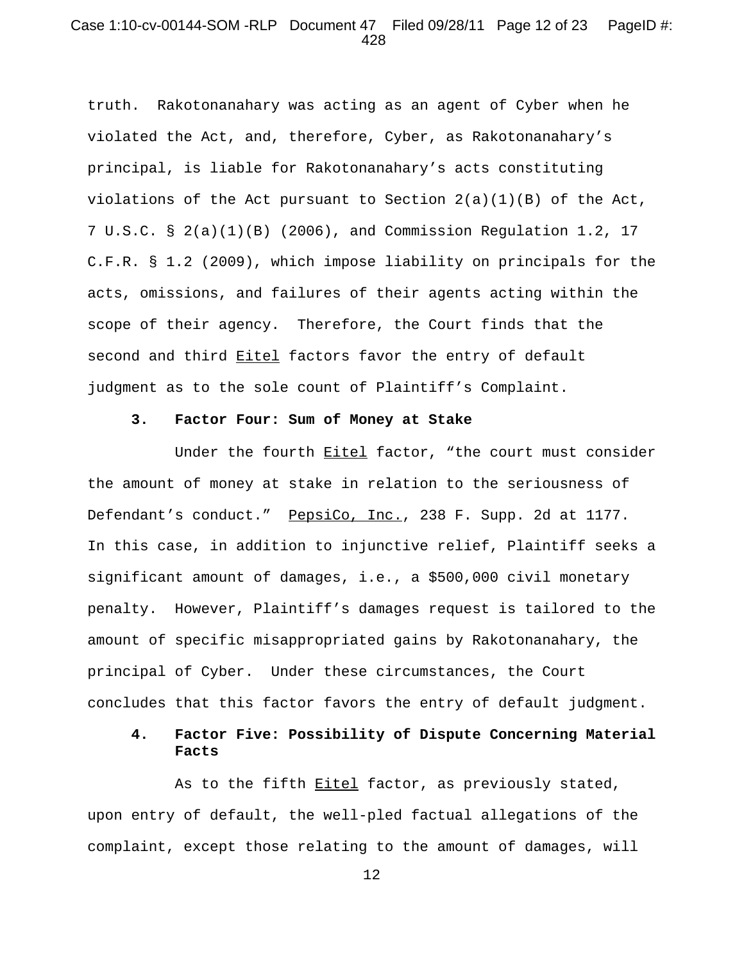### Case 1:10-cv-00144-SOM -RLP Document 47 Filed 09/28/11 Page 12 of 23 PageID #: 428

truth. Rakotonanahary was acting as an agent of Cyber when he violated the Act, and, therefore, Cyber, as Rakotonanahary's principal, is liable for Rakotonanahary's acts constituting violations of the Act pursuant to Section 2(a)(1)(B) of the Act, 7 U.S.C. § 2(a)(1)(B) (2006), and Commission Regulation 1.2, 17 C.F.R. § 1.2 (2009), which impose liability on principals for the acts, omissions, and failures of their agents acting within the scope of their agency. Therefore, the Court finds that the second and third Eitel factors favor the entry of default judgment as to the sole count of Plaintiff's Complaint.

#### **3. Factor Four: Sum of Money at Stake**

Under the fourth Eitel factor, "the court must consider the amount of money at stake in relation to the seriousness of Defendant's conduct." PepsiCo, Inc., 238 F. Supp. 2d at 1177. In this case, in addition to injunctive relief, Plaintiff seeks a significant amount of damages, i.e., a \$500,000 civil monetary penalty. However, Plaintiff's damages request is tailored to the amount of specific misappropriated gains by Rakotonanahary, the principal of Cyber. Under these circumstances, the Court concludes that this factor favors the entry of default judgment.

# **4. Factor Five: Possibility of Dispute Concerning Material Facts**

As to the fifth Eitel factor, as previously stated, upon entry of default, the well-pled factual allegations of the complaint, except those relating to the amount of damages, will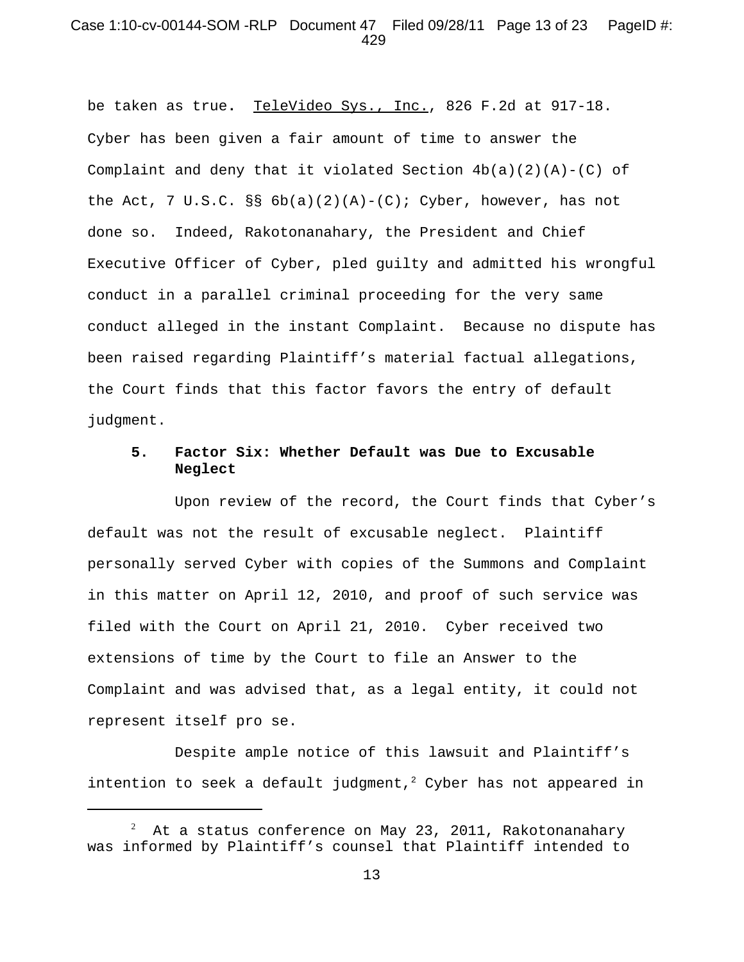## Case 1:10-cv-00144-SOM -RLP Document 47 Filed 09/28/11 Page 13 of 23 PageID #: 429

be taken as true**.** TeleVideo Sys., Inc., 826 F.2d at 917-18. Cyber has been given a fair amount of time to answer the Complaint and deny that it violated Section  $4b(a)(2)(A)-(C)$  of the Act, 7 U.S.C. §§  $6b(a)(2)(A)-(C)$ ; Cyber, however, has not done so. Indeed, Rakotonanahary, the President and Chief Executive Officer of Cyber, pled guilty and admitted his wrongful conduct in a parallel criminal proceeding for the very same conduct alleged in the instant Complaint. Because no dispute has been raised regarding Plaintiff's material factual allegations, the Court finds that this factor favors the entry of default judgment.

## **5. Factor Six: Whether Default was Due to Excusable Neglect**

Upon review of the record, the Court finds that Cyber's default was not the result of excusable neglect. Plaintiff personally served Cyber with copies of the Summons and Complaint in this matter on April 12, 2010, and proof of such service was filed with the Court on April 21, 2010. Cyber received two extensions of time by the Court to file an Answer to the Complaint and was advised that, as a legal entity, it could not represent itself pro se.

Despite ample notice of this lawsuit and Plaintiff's intention to seek a default judgment,<sup>2</sup> Cyber has not appeared in

<sup>2</sup> At a status conference on May 23, 2011, Rakotonanahary was informed by Plaintiff's counsel that Plaintiff intended to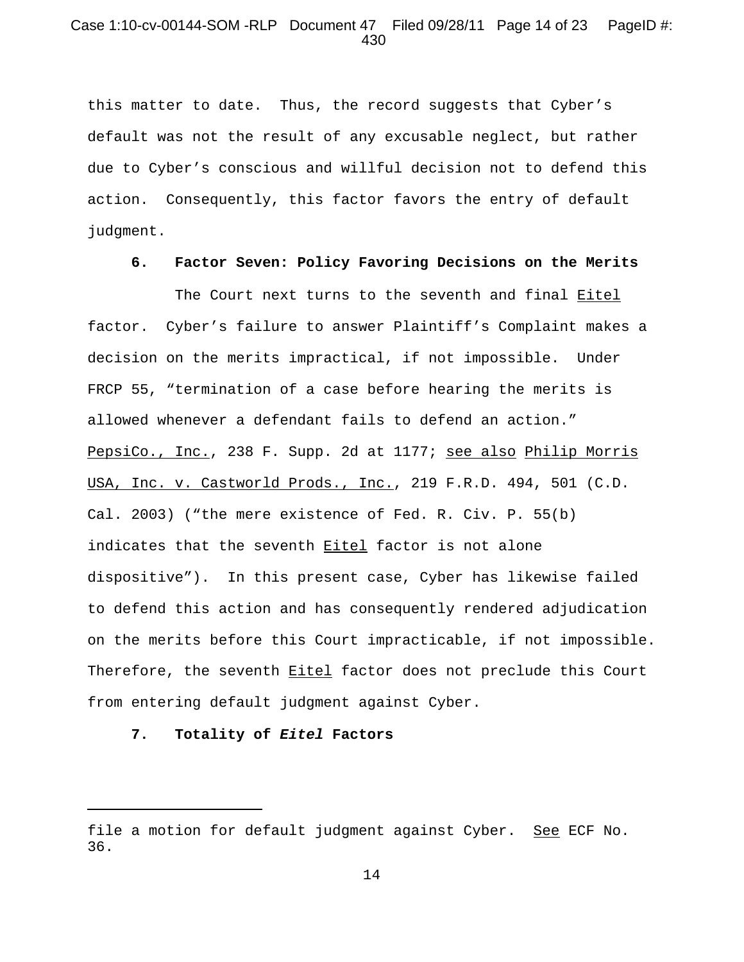# Case 1:10-cv-00144-SOM -RLP Document 47 Filed 09/28/11 Page 14 of 23 PageID #: 430

this matter to date. Thus, the record suggests that Cyber's default was not the result of any excusable neglect, but rather due to Cyber's conscious and willful decision not to defend this action. Consequently, this factor favors the entry of default judgment.

#### **6. Factor Seven: Policy Favoring Decisions on the Merits**

The Court next turns to the seventh and final Eitel factor. Cyber's failure to answer Plaintiff's Complaint makes a decision on the merits impractical, if not impossible. Under FRCP 55, "termination of a case before hearing the merits is allowed whenever a defendant fails to defend an action." PepsiCo., Inc., 238 F. Supp. 2d at 1177; see also Philip Morris USA, Inc. v. Castworld Prods., Inc., 219 F.R.D. 494, 501 (C.D. Cal. 2003) ("the mere existence of Fed. R. Civ. P. 55(b) indicates that the seventh **Eitel** factor is not alone dispositive"). In this present case, Cyber has likewise failed to defend this action and has consequently rendered adjudication on the merits before this Court impracticable, if not impossible. Therefore, the seventh **Eitel** factor does not preclude this Court from entering default judgment against Cyber.

## **7. Totality of** *Eitel* **Factors**

file a motion for default judgment against Cyber. See ECF No. 36.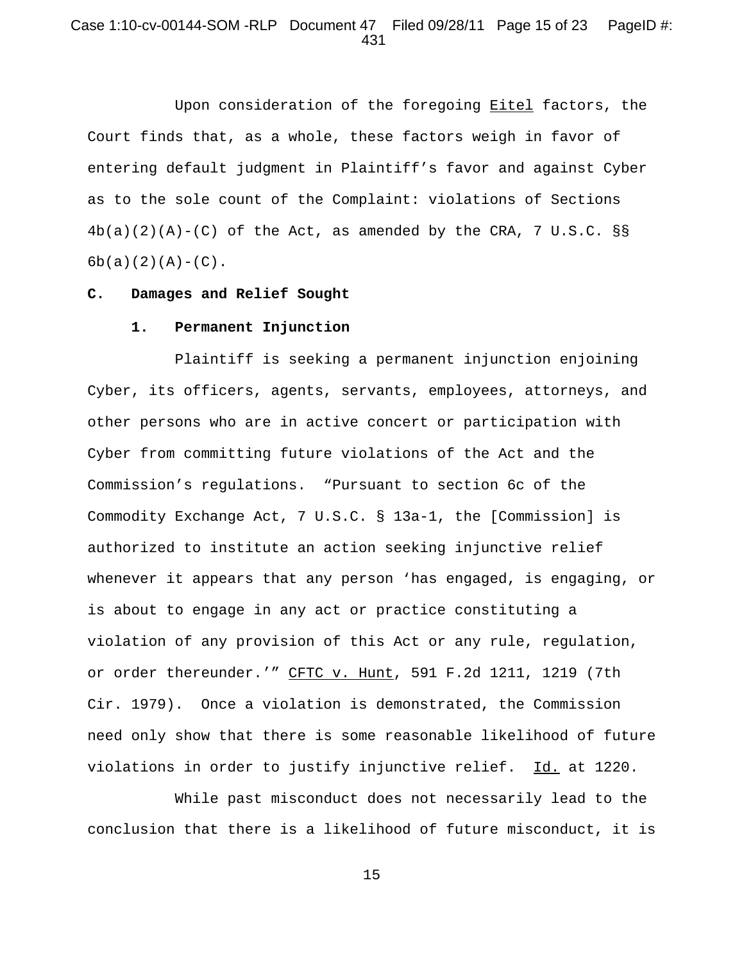# Case 1:10-cv-00144-SOM -RLP Document 47 Filed 09/28/11 Page 15 of 23 PageID #: 431

Upon consideration of the foregoing Eitel factors, the Court finds that, as a whole, these factors weigh in favor of entering default judgment in Plaintiff's favor and against Cyber as to the sole count of the Complaint: violations of Sections  $4b(a)(2)(A)-(C)$  of the Act, as amended by the CRA, 7 U.S.C. §§  $6b(a)(2)(A)-(C)$ .

#### **C. Damages and Relief Sought**

#### **1. Permanent Injunction**

Plaintiff is seeking a permanent injunction enjoining Cyber, its officers, agents, servants, employees, attorneys, and other persons who are in active concert or participation with Cyber from committing future violations of the Act and the Commission's regulations. "Pursuant to section 6c of the Commodity Exchange Act, 7 U.S.C. § 13a-1, the [Commission] is authorized to institute an action seeking injunctive relief whenever it appears that any person 'has engaged, is engaging, or is about to engage in any act or practice constituting a violation of any provision of this Act or any rule, regulation, or order thereunder.'" CFTC v. Hunt, 591 F.2d 1211, 1219 (7th Cir. 1979). Once a violation is demonstrated, the Commission need only show that there is some reasonable likelihood of future violations in order to justify injunctive relief. Id. at 1220.

While past misconduct does not necessarily lead to the conclusion that there is a likelihood of future misconduct, it is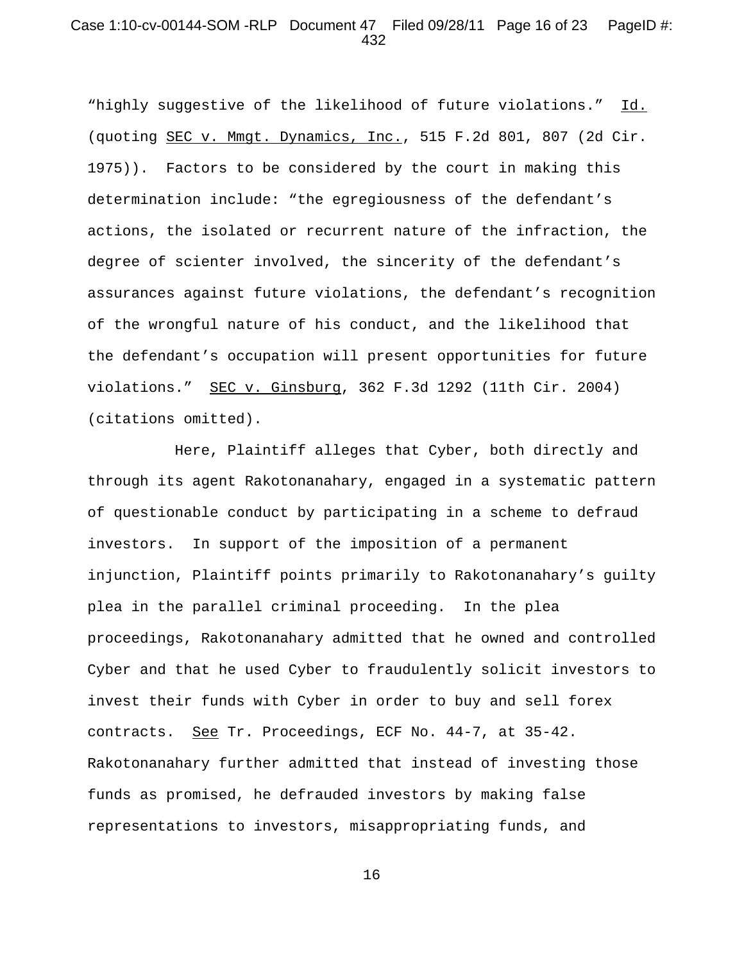## Case 1:10-cv-00144-SOM -RLP Document 47 Filed 09/28/11 Page 16 of 23 PageID #: 432

"highly suggestive of the likelihood of future violations." Id. (quoting SEC v. Mmgt. Dynamics, Inc., 515 F.2d 801, 807 (2d Cir. 1975)). Factors to be considered by the court in making this determination include: "the egregiousness of the defendant's actions, the isolated or recurrent nature of the infraction, the degree of scienter involved, the sincerity of the defendant's assurances against future violations, the defendant's recognition of the wrongful nature of his conduct, and the likelihood that the defendant's occupation will present opportunities for future violations." SEC v. Ginsburg, 362 F.3d 1292 (11th Cir. 2004) (citations omitted).

Here, Plaintiff alleges that Cyber, both directly and through its agent Rakotonanahary, engaged in a systematic pattern of questionable conduct by participating in a scheme to defraud investors. In support of the imposition of a permanent injunction, Plaintiff points primarily to Rakotonanahary's guilty plea in the parallel criminal proceeding. In the plea proceedings, Rakotonanahary admitted that he owned and controlled Cyber and that he used Cyber to fraudulently solicit investors to invest their funds with Cyber in order to buy and sell forex contracts. See Tr. Proceedings, ECF No. 44-7, at 35-42. Rakotonanahary further admitted that instead of investing those funds as promised, he defrauded investors by making false representations to investors, misappropriating funds, and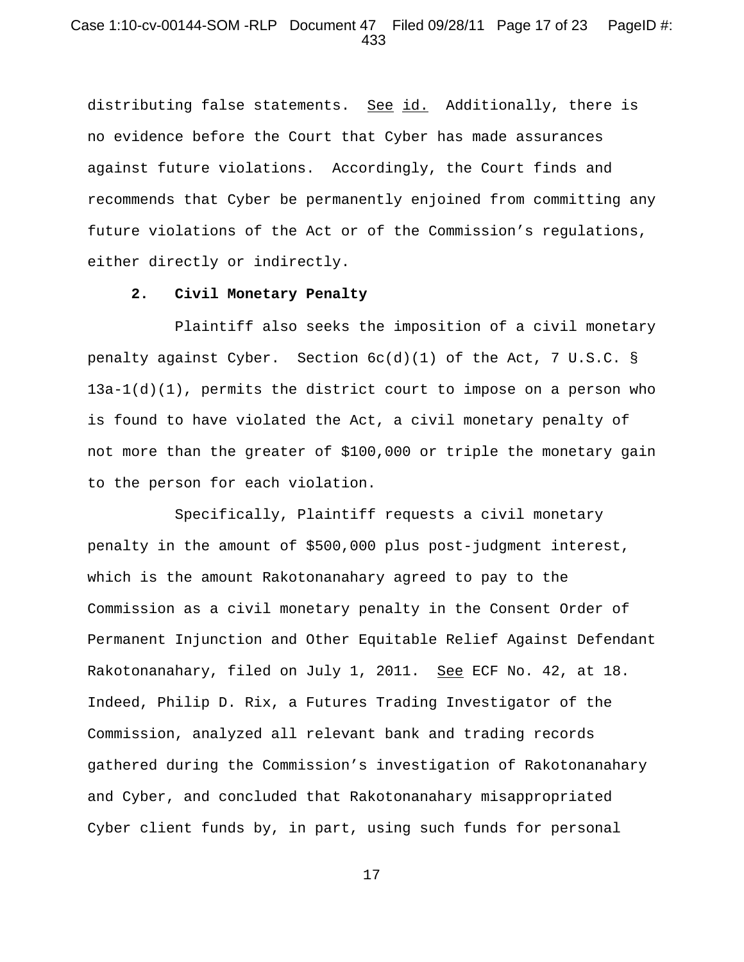## Case 1:10-cv-00144-SOM -RLP Document 47 Filed 09/28/11 Page 17 of 23 PageID #: 433

distributing false statements. See id. Additionally, there is no evidence before the Court that Cyber has made assurances against future violations. Accordingly, the Court finds and recommends that Cyber be permanently enjoined from committing any future violations of the Act or of the Commission's regulations, either directly or indirectly.

### **2. Civil Monetary Penalty**

Plaintiff also seeks the imposition of a civil monetary penalty against Cyber. Section  $6c(d)(1)$  of the Act, 7 U.S.C. §  $13a-1(d)(1)$ , permits the district court to impose on a person who is found to have violated the Act, a civil monetary penalty of not more than the greater of \$100,000 or triple the monetary gain to the person for each violation.

Specifically, Plaintiff requests a civil monetary penalty in the amount of \$500,000 plus post-judgment interest, which is the amount Rakotonanahary agreed to pay to the Commission as a civil monetary penalty in the Consent Order of Permanent Injunction and Other Equitable Relief Against Defendant Rakotonanahary, filed on July 1, 2011. See ECF No. 42, at 18. Indeed, Philip D. Rix, a Futures Trading Investigator of the Commission, analyzed all relevant bank and trading records gathered during the Commission's investigation of Rakotonanahary and Cyber, and concluded that Rakotonanahary misappropriated Cyber client funds by, in part, using such funds for personal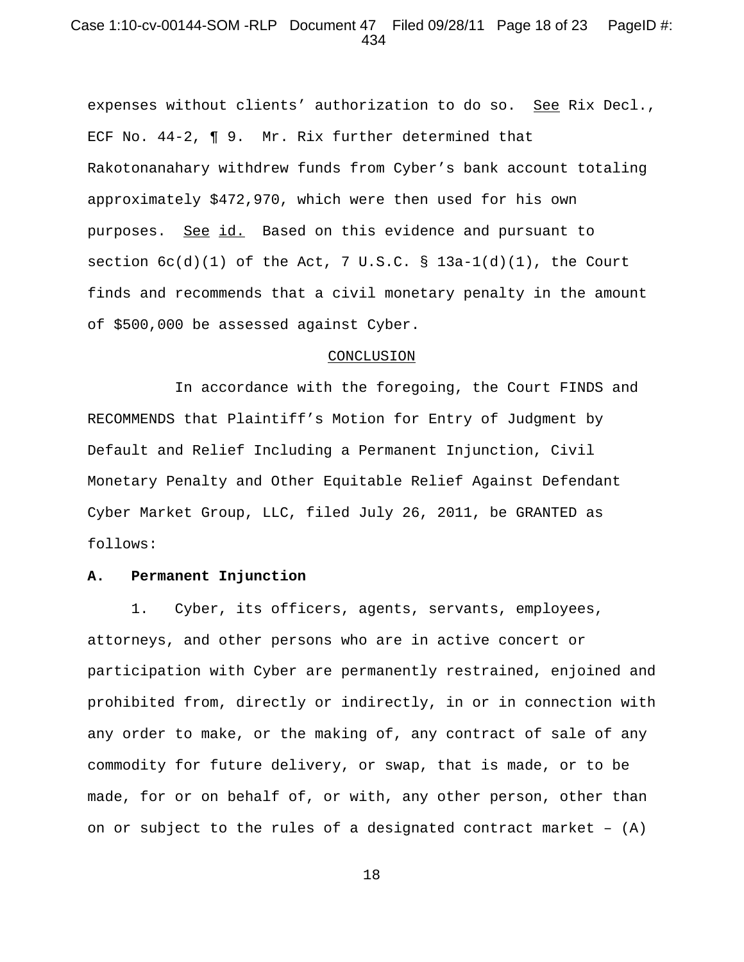## Case 1:10-cv-00144-SOM -RLP Document 47 Filed 09/28/11 Page 18 of 23 PageID #: 434

expenses without clients' authorization to do so. See Rix Decl., ECF No. 44-2, ¶ 9. Mr. Rix further determined that Rakotonanahary withdrew funds from Cyber's bank account totaling approximately \$472,970, which were then used for his own purposes. See id. Based on this evidence and pursuant to section  $6c(d)(1)$  of the Act, 7 U.S.C. § 13a-1(d)(1), the Court finds and recommends that a civil monetary penalty in the amount of \$500,000 be assessed against Cyber.

#### CONCLUSION

In accordance with the foregoing, the Court FINDS and RECOMMENDS that Plaintiff's Motion for Entry of Judgment by Default and Relief Including a Permanent Injunction, Civil Monetary Penalty and Other Equitable Relief Against Defendant Cyber Market Group, LLC, filed July 26, 2011, be GRANTED as follows:

### **A. Permanent Injunction**

1. Cyber, its officers, agents, servants, employees, attorneys, and other persons who are in active concert or participation with Cyber are permanently restrained, enjoined and prohibited from, directly or indirectly, in or in connection with any order to make, or the making of, any contract of sale of any commodity for future delivery, or swap, that is made, or to be made, for or on behalf of, or with, any other person, other than on or subject to the rules of a designated contract market – (A)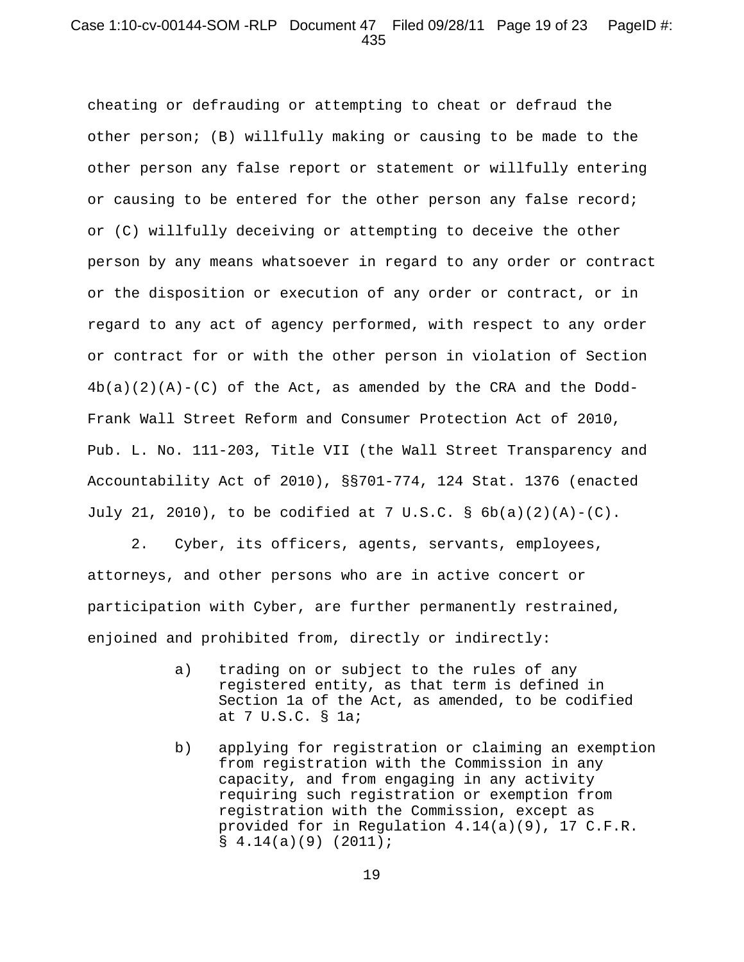# Case 1:10-cv-00144-SOM -RLP Document 47 Filed 09/28/11 Page 19 of 23 PageID #: 435

cheating or defrauding or attempting to cheat or defraud the other person; (B) willfully making or causing to be made to the other person any false report or statement or willfully entering or causing to be entered for the other person any false record; or (C) willfully deceiving or attempting to deceive the other person by any means whatsoever in regard to any order or contract or the disposition or execution of any order or contract, or in regard to any act of agency performed, with respect to any order or contract for or with the other person in violation of Section  $4b(a)(2)(A)-(C)$  of the Act, as amended by the CRA and the Dodd-Frank Wall Street Reform and Consumer Protection Act of 2010, Pub. L. No. 111-203, Title VII (the Wall Street Transparency and Accountability Act of 2010), §§701-774, 124 Stat. 1376 (enacted July 21, 2010), to be codified at 7 U.S.C. §  $6b(a)(2)(A)-(C)$ .

2. Cyber, its officers, agents, servants, employees, attorneys, and other persons who are in active concert or participation with Cyber, are further permanently restrained, enjoined and prohibited from, directly or indirectly:

- a) trading on or subject to the rules of any registered entity, as that term is defined in Section 1a of the Act, as amended, to be codified at 7 U.S.C. § 1a;
- b) applying for registration or claiming an exemption from registration with the Commission in any capacity, and from engaging in any activity requiring such registration or exemption from registration with the Commission, except as provided for in Regulation 4.14(a)(9), 17 C.F.R.  $$4.14(a)(9)(2011);$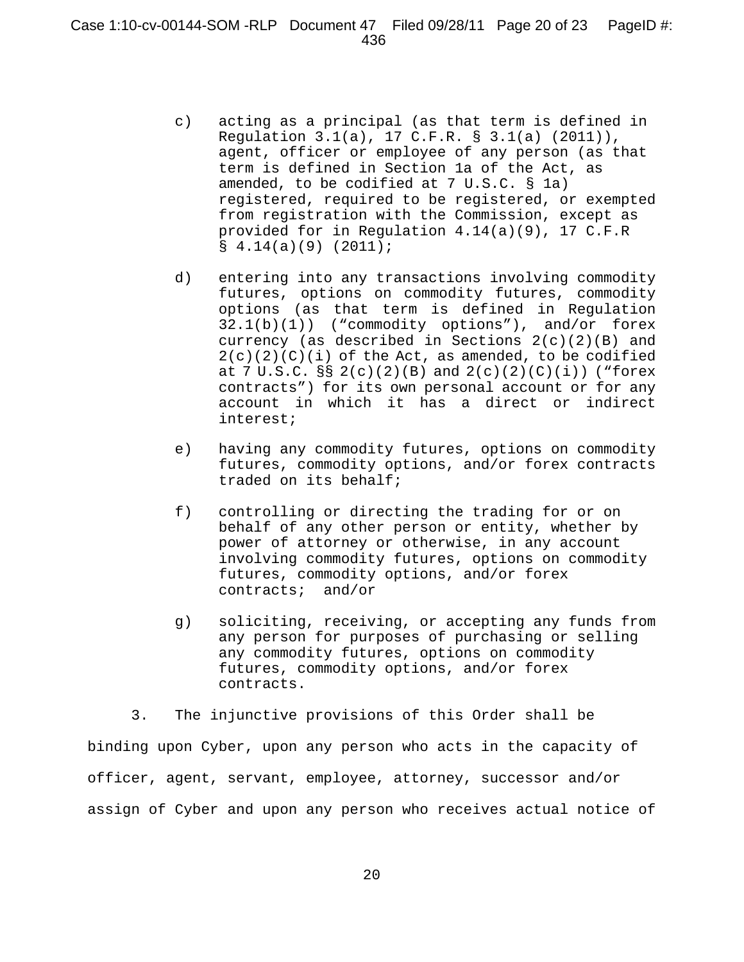- c) acting as a principal (as that term is defined in Regulation 3.1(a), 17 C.F.R. § 3.1(a) (2011)), agent, officer or employee of any person (as that term is defined in Section 1a of the Act, as amended, to be codified at 7 U.S.C. § 1a) registered, required to be registered, or exempted from registration with the Commission, except as provided for in Regulation 4.14(a)(9), 17 C.F.R  $\{9\}$   $(2011)$ ;
- d) entering into any transactions involving commodity futures, options on commodity futures, commodity options (as that term is defined in Regulation 32.1(b)(1)) ("commodity options"), and/or forex currency (as described in Sections 2(c)(2)(B) and  $2(c)(2)(c)(i)$  of the Act, as amended, to be codified at 7 U.S.C.  $\S$  2(c)(2)(B) and 2(c)(2)(C)(i)) ("forex contracts") for its own personal account or for any account in which it has a direct or indirect interest;
- e) having any commodity futures, options on commodity futures, commodity options, and/or forex contracts traded on its behalf;
- f) controlling or directing the trading for or on behalf of any other person or entity, whether by power of attorney or otherwise, in any account involving commodity futures, options on commodity futures, commodity options, and/or forex contracts; and/or
- g) soliciting, receiving, or accepting any funds from any person for purposes of purchasing or selling any commodity futures, options on commodity futures, commodity options, and/or forex contracts.

3. The injunctive provisions of this Order shall be binding upon Cyber, upon any person who acts in the capacity of officer, agent, servant, employee, attorney, successor and/or assign of Cyber and upon any person who receives actual notice of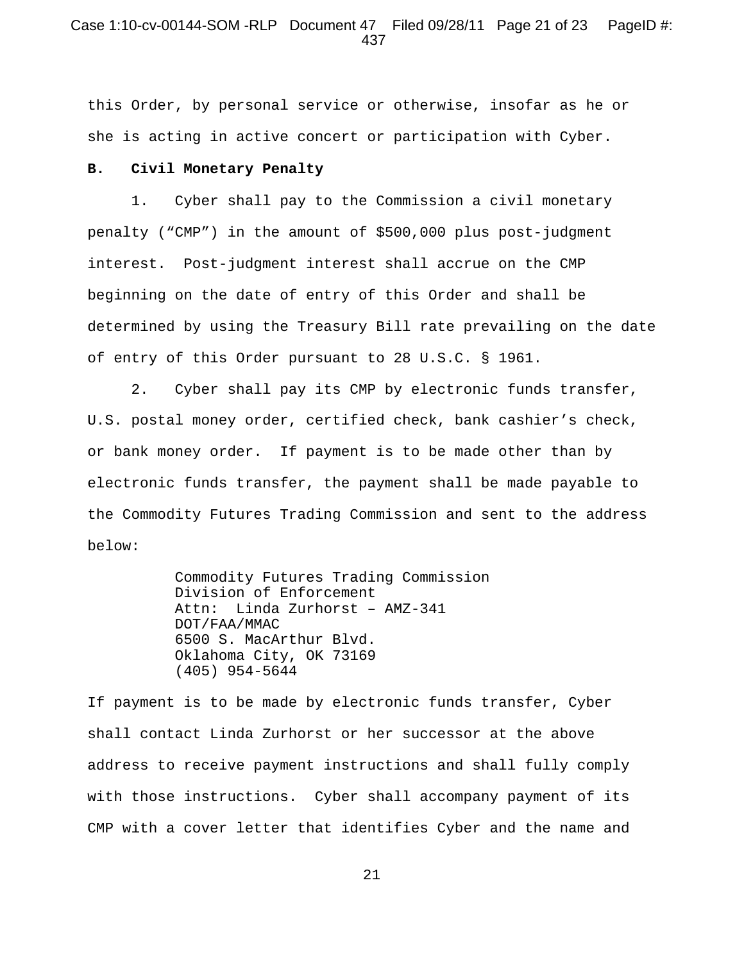## Case 1:10-cv-00144-SOM -RLP Document 47 Filed 09/28/11 Page 21 of 23 PageID #: 437

this Order, by personal service or otherwise, insofar as he or she is acting in active concert or participation with Cyber.

#### **B. Civil Monetary Penalty**

1. Cyber shall pay to the Commission a civil monetary penalty ("CMP") in the amount of \$500,000 plus post-judgment interest. Post-judgment interest shall accrue on the CMP beginning on the date of entry of this Order and shall be determined by using the Treasury Bill rate prevailing on the date of entry of this Order pursuant to 28 U.S.C. § 1961.

2. Cyber shall pay its CMP by electronic funds transfer, U.S. postal money order, certified check, bank cashier's check, or bank money order. If payment is to be made other than by electronic funds transfer, the payment shall be made payable to the Commodity Futures Trading Commission and sent to the address below:

> Commodity Futures Trading Commission Division of Enforcement Attn: Linda Zurhorst – AMZ-341 DOT/FAA/MMAC 6500 S. MacArthur Blvd. Oklahoma City, OK 73169 (405) 954-5644

If payment is to be made by electronic funds transfer, Cyber shall contact Linda Zurhorst or her successor at the above address to receive payment instructions and shall fully comply with those instructions. Cyber shall accompany payment of its CMP with a cover letter that identifies Cyber and the name and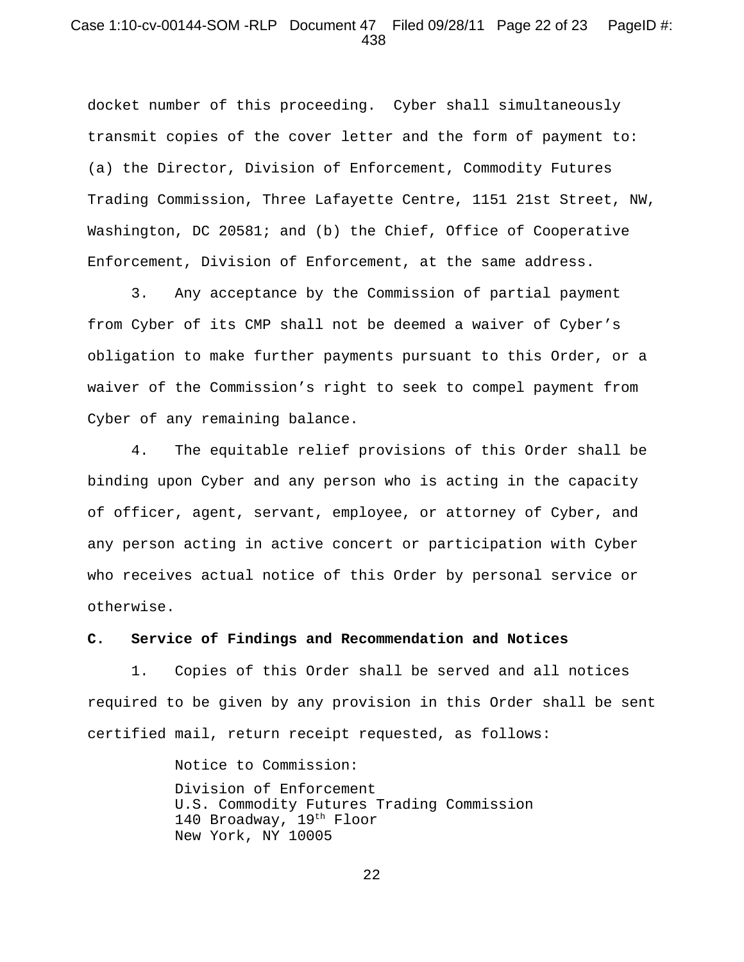## Case 1:10-cv-00144-SOM -RLP Document 47 Filed 09/28/11 Page 22 of 23 PageID #: 438

docket number of this proceeding. Cyber shall simultaneously transmit copies of the cover letter and the form of payment to: (a) the Director, Division of Enforcement, Commodity Futures Trading Commission, Three Lafayette Centre, 1151 21st Street, NW, Washington, DC 20581; and (b) the Chief, Office of Cooperative Enforcement, Division of Enforcement, at the same address.

3. Any acceptance by the Commission of partial payment from Cyber of its CMP shall not be deemed a waiver of Cyber's obligation to make further payments pursuant to this Order, or a waiver of the Commission's right to seek to compel payment from Cyber of any remaining balance.

4. The equitable relief provisions of this Order shall be binding upon Cyber and any person who is acting in the capacity of officer, agent, servant, employee, or attorney of Cyber, and any person acting in active concert or participation with Cyber who receives actual notice of this Order by personal service or otherwise.

#### **C. Service of Findings and Recommendation and Notices**

1. Copies of this Order shall be served and all notices required to be given by any provision in this Order shall be sent certified mail, return receipt requested, as follows:

> Notice to Commission: Division of Enforcement U.S. Commodity Futures Trading Commission 140 Broadway, 19<sup>th</sup> Floor New York, NY 10005